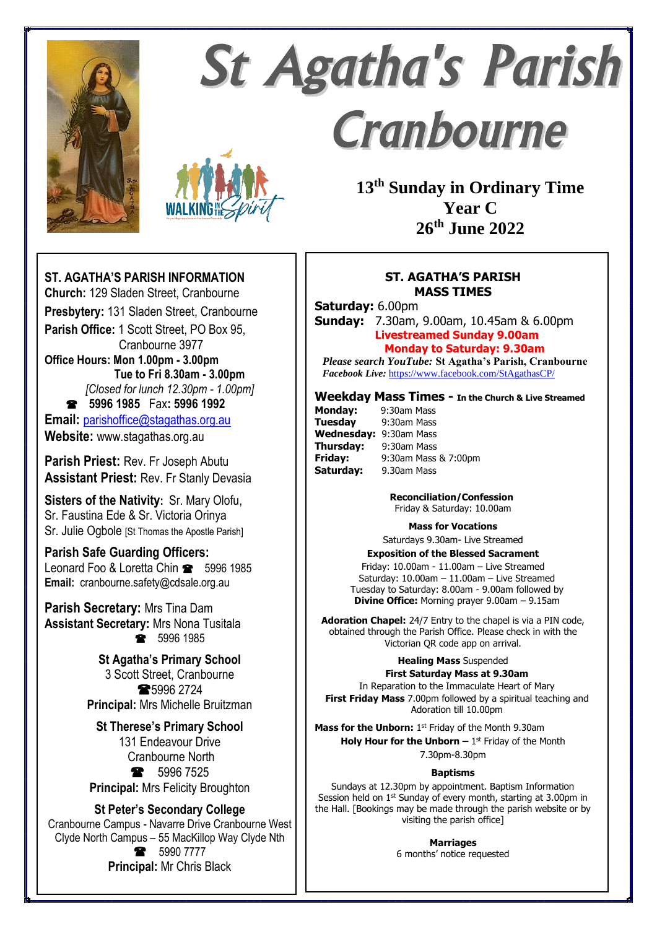

# **St Agatha's Parish** Cranbourne



**13th Sunday in Ordinary Time Year C 26th June 2022**

## **ST. AGATHA'S PARISH MASS TIMES**

**Saturday:** 6.00pm

**Sunday:** 7.30am, 9.00am, 10.45am & 6.00pm **Livestreamed Sunday 9.00am Monday to Saturday: 9.30am**

*Please search YouTube:* **St Agatha's Parish, Cranbourne**  *Facebook Live:* <https://www.facebook.com/StAgathasCP/>

## **Weekday Mass Times - In the Church & Live Streamed**

| <b>Monday:</b>         | 9:30am Mass          |
|------------------------|----------------------|
| <b>Tuesday</b>         | 9:30am Mass          |
| Wednesday: 9:30am Mass |                      |
| Thursday:              | 9:30am Mass          |
| Friday:                | 9:30am Mass & 7:00pm |
| Saturday:              | 9.30am Mass          |

 **Reconciliation/Confession** Friday & Saturday: 10.00am

#### **Mass for Vocations**

Saturdays 9.30am- Live Streamed

**Exposition of the Blessed Sacrament** Friday: 10.00am - 11.00am – Live Streamed Saturday: 10.00am – 11.00am – Live Streamed Tuesday to Saturday: 8.00am - 9.00am followed by **Divine Office:** Morning prayer 9.00am – 9.15am

**Adoration Chapel:** 24/7 Entry to the chapel is via a PIN code, obtained through the Parish Office. Please check in with the Victorian QR code app on arrival.

#### **Healing Mass** Suspended **First Saturday Mass at 9.30am**

In Reparation to the Immaculate Heart of Mary **First Friday Mass** 7.00pm followed by a spiritual teaching and Adoration till 10.00pm

Mass for the Unborn: 1<sup>st</sup> Friday of the Month 9.30am **Holy Hour for the Unborn**  $-1$ **<sup>st</sup> Friday of the Month** 

7.30pm-8.30pm

#### **Baptisms**

Sundays at 12.30pm by appointment. Baptism Information Session held on 1<sup>st</sup> Sunday of every month, starting at 3.00pm in the Hall. [Bookings may be made through the parish website or by visiting the parish office]

> **Marriages** 6 months' notice requested

## **ST. AGATHA'S PARISH INFORMATION**

**Church:** 129 Sladen Street, Cranbourne **Presbytery:** 131 Sladen Street, Cranbourne **Parish Office:** 1 Scott Street, PO Box 95, Cranbourne 3977 **Office Hours: Mon 1.00pm - 3.00pm Tue to Fri 8.30am - 3.00pm** *[Closed for lunch 12.30pm - 1.00pm]*  **5996 1985** Fax**: 5996 1992 Email:** [parishoffice@stagathas.org.au](mailto:parishoffice@stagathas.org.au) **Website:** www.stagathas.org.au

**Parish Priest:** Rev. Fr Joseph Abutu **Assistant Priest:** Rev. Fr Stanly Devasia

**Sisters of the Nativity:** Sr. Mary Olofu, Sr. Faustina Ede & Sr. Victoria Orinya Sr. Julie Ogbole [St Thomas the Apostle Parish]

## **Parish Safe Guarding Officers:**

Leonard Foo & Loretta Chin **8** 5996 1985 **Email:** cranbourne.safety@cdsale.org.au

**Parish Secretary:** Mrs Tina Dam **Assistant Secretary:** Mrs Nona Tusitala ● 5996 1985

> **St Agatha's Primary School** 3 Scott Street, Cranbourne **\$5996 2724 Principal:** Mrs Michelle Bruitzman

**St Therese's Primary School** 131 Endeavour Drive Cranbourne North • 5996 7525 **Principal:** Mrs Felicity Broughton

## **St Peter's Secondary College**

Cranbourne Campus - Navarre Drive Cranbourne West Clyde North Campus – 55 MacKillop Way Clyde Nth **8** 5990 7777 **Principal:** Mr Chris Black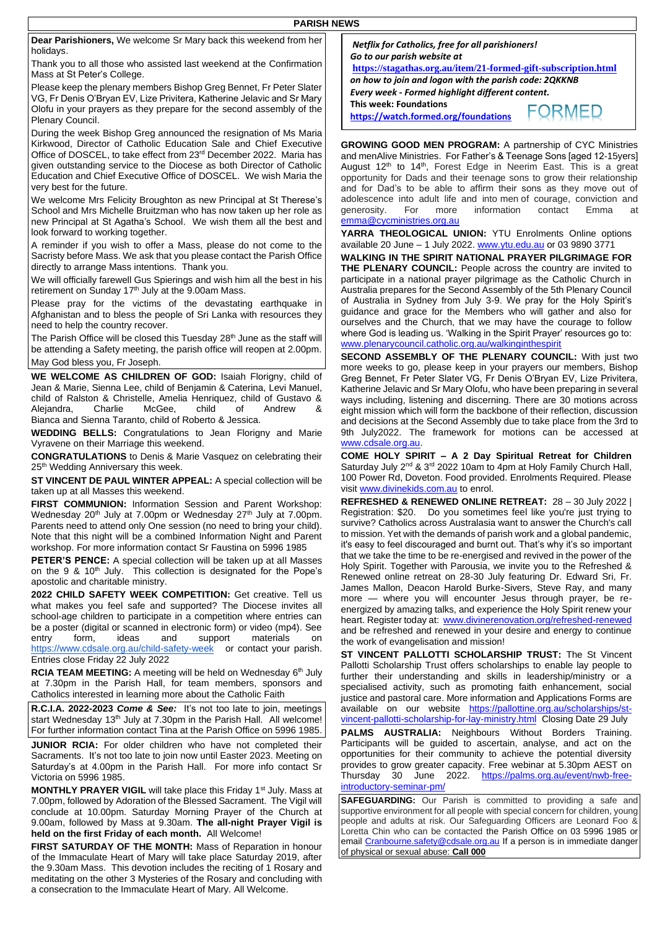| Dear Parishioners, We welcome Sr Mary back this weekend from her       |  |
|------------------------------------------------------------------------|--|
| holidays.                                                              |  |
| Thoule you to all those who conjoind look woolcome at the Confirmation |  |

Thank you to all those who assisted last weekend at the Confirmation Mass at St Peter's College.

Please keep the plenary members Bishop Greg Bennet, Fr Peter Slater VG, Fr Denis O'Bryan EV, Lize Privitera, Katherine Jelavic and Sr Mary Olofu in your prayers as they prepare for the second assembly of the Plenary Council.

During the week Bishop Greg announced the resignation of Ms Maria Kirkwood, Director of Catholic Education Sale and Chief Executive Office of DOSCEL, to take effect from 23rd December 2022. Maria has given outstanding service to the Diocese as both Director of Catholic Education and Chief Executive Office of DOSCEL. We wish Maria the very best for the future.

We welcome Mrs Felicity Broughton as new Principal at St Therese's School and Mrs Michelle Bruitzman who has now taken up her role as new Principal at St Agatha's School. We wish them all the best and look forward to working together.

A reminder if you wish to offer a Mass, please do not come to the Sacristy before Mass. We ask that you please contact the Parish Office directly to arrange Mass intentions. Thank you.

We will officially farewell Gus Spierings and wish him all the best in his retirement on Sunday 17<sup>th</sup> July at the 9.00am Mass.

Please pray for the victims of the devastating earthquake in Afghanistan and to bless the people of Sri Lanka with resources they need to help the country recover.

The Parish Office will be closed this Tuesday 28<sup>th</sup> June as the staff will be attending a Safety meeting, the parish office will reopen at 2.00pm. May God bless you, Fr Joseph.

**WE WELCOME AS CHILDREN OF GOD:** Isaiah Florigny, child of Jean & Marie, Sienna Lee, child of Benjamin & Caterina, Levi Manuel, child of Ralston & Christelle, Amelia Henriquez, child of Gustavo & Aleiandra, Charlie McGee, child of Andrew Bianca and Sienna Taranto, child of Roberto & Jessica.

**WEDDING BELLS:** Congratulations to Jean Florigny and Marie Vyravene on their Marriage this weekend.

**CONGRATULATIONS** to Denis & Marie Vasquez on celebrating their 25<sup>th</sup> Wedding Anniversary this week.

**ST VINCENT DE PAUL WINTER APPEAL:** A special collection will be taken up at all Masses this weekend.

**FIRST COMMUNION:** Information Session and Parent Workshop: Wednesday 20<sup>th</sup> July at 7.00pm or Wednesday 27<sup>th</sup> July at 7.00pm. Parents need to attend only One session (no need to bring your child). Note that this night will be a combined Information Night and Parent workshop. For more information contact Sr Faustina on 5996 1985

**PETER'S PENCE:** A special collection will be taken up at all Masses on the 9 & 10<sup>th</sup> July. This collection is designated for the Pope's apostolic and charitable ministry.

**2022 CHILD SAFETY WEEK COMPETITION:** Get creative. Tell us what makes you feel safe and supported? The Diocese invites all school-age children to participate in a competition where entries can be a poster (digital or scanned in electronic form) or video (mp4). See entry form, ideas and support materials on <https://www.cdsale.org.au/child-safety-week> or contact your parish. Entries close Friday 22 July 2022

RCIA TEAM MEETING: A meeting will be held on Wednesday 6<sup>th</sup> July at 7.30pm in the Parish Hall, for team members, sponsors and Catholics interested in learning more about the Catholic Faith

**R.C.I.A. 2022-2023** *Come & See:* It's not too late to join, meetings start Wednesday 13<sup>th</sup> July at 7.30pm in the Parish Hall. All welcome! For further information contact Tina at the Parish Office on 5996 1985.

**JUNIOR RCIA:** For older children who have not completed their Sacraments. It's not too late to join now until Easter 2023. Meeting on Saturday's at 4.00pm in the Parish Hall. For more info contact Sr Victoria on 5996 1985.

**MONTHLY PRAYER VIGIL** will take place this Friday 1<sup>st</sup> July. Mass at 7.00pm, followed by Adoration of the Blessed Sacrament. The Vigil will conclude at 10.00pm. Saturday Morning Prayer of the Church at 9.00am, followed by Mass at 9.30am. **The all-night Prayer Vigil is held on the first Friday of each month.** All Welcome!

**FIRST SATURDAY OF THE MONTH:** Mass of Reparation in honour of the Immaculate Heart of Mary will take place Saturday 2019, after the 9.30am Mass. This devotion includes the reciting of 1 Rosary and meditating on the other 3 Mysteries of the Rosary and concluding with a consecration to the Immaculate Heart of Mary. All Welcome.

*Netflix for Catholics, free for all parishioners! Go to our parish website at* **<https://stagathas.org.au/item/21-formed-gift-subscription.html>**

*on how to join and logon with the parish code: 2QKKNB Every week - Formed highlight different content.* **This week: Foundations**

**https://watch.formed.org/foundations**

FORMED

**GROWING GOOD MEN PROGRAM:** A partnership of CYC Ministries and menAlive Ministries. For Father's & Teenage Sons [aged 12-15yers] August 12<sup>th</sup> to 14<sup>th</sup>, Forest Edge in Neerim East. This is a great opportunity for Dads and their teenage sons to grow their relationship and for Dad's to be able to affirm their sons as they move out of adolescence into adult life and into men of courage, conviction and generosity. For more information contact Emma [emma@cycministries.org.au](mailto:emma@cycministries.org.au)

**YARRA THEOLOGICAL UNION:** YTU Enrolments Online options available 20 June – 1 July 2022. [www.ytu.edu.au](http://www.ytu.edu.au/) or 03 9890 3771

**WALKING IN THE SPIRIT NATIONAL PRAYER PILGRIMAGE FOR THE PLENARY COUNCIL:** People across the country are invited to participate in a national prayer pilgrimage as the Catholic Church in Australia prepares for the Second Assembly of the 5th Plenary Council of Australia in Sydney from July 3-9. We pray for the Holy Spirit's guidance and grace for the Members who will gather and also for ourselves and the Church, that we may have the courage to follow where God is leading us. 'Walking in the Spirit Prayer' resources go to: [www.plenarycouncil.catholic.org.au/walkinginthespirit](http://www.plenarycouncil.catholic.org.au/walkinginthespirit)

**SECOND ASSEMBLY OF THE PLENARY COUNCIL:** With just two more weeks to go, please keep in your prayers our members, Bishop Greg Bennet, Fr Peter Slater VG, Fr Denis O'Bryan EV, Lize Privitera, Katherine Jelavic and Sr Mary Olofu, who have been preparing in several ways including, listening and discerning. There are 30 motions across eight mission which will form the backbone of their reflection, discussion and decisions at the Second Assembly due to take place from the 3rd to 9th July2022. The framework for motions can be accessed at [www.cdsale.org.au.](http://www.cdsale.org.au/)

**COME HOLY SPIRIT – A 2 Day Spiritual Retreat for Children**  Saturday July 2<sup>nd</sup> & 3<sup>rd</sup> 2022 10am to 4pm at Holy Family Church Hall, 100 Power Rd, Doveton. Food provided. Enrolments Required. Please visit [www.divinekids.com.au](http://www.divinekids.com.au/) to enrol.

**REFRESHED & RENEWED ONLINE RETREAT:** 28 – 30 July 2022 | Registration: \$20. Do you sometimes feel like you're just trying to survive? Catholics across Australasia want to answer the Church's call to mission. Yet with the demands of parish work and a global pandemic, it's easy to feel discouraged and burnt out. That's why it's so important that we take the time to be re-energised and revived in the power of the Holy Spirit. Together with Parousia, we invite you to the Refreshed & Renewed online retreat on 28-30 July featuring Dr. Edward Sri, Fr. James Mallon, Deacon Harold Burke-Sivers, Steve Ray, and many more — where you will encounter Jesus through prayer, be reenergized by amazing talks, and experience the Holy Spirit renew your heart. Register today at: [www.divinerenovation.org/refreshed-renewed](http://www.divinerenovation.org/refreshed-renewed) and be refreshed and renewed in your desire and energy to continue the work of evangelisation and mission!

**ST VINCENT PALLOTTI SCHOLARSHIP TRUST:** The St Vincent Pallotti Scholarship Trust offers scholarships to enable lay people to further their understanding and skills in leadership/ministry or a specialised activity, such as promoting faith enhancement, social justice and pastoral care. More information and Applications Forms are available on our website [https://pallottine.org.au/scholarships/st](https://pallottine.org.au/scholarships/st-vincent-pallotti-scholarship-for-lay-ministry.html)[vincent-pallotti-scholarship-for-lay-ministry.html](https://pallottine.org.au/scholarships/st-vincent-pallotti-scholarship-for-lay-ministry.html) Closing Date 29 July

**PALMS AUSTRALIA:** Neighbours Without Borders Training. Participants will be guided to ascertain, analyse, and act on the opportunities for their community to achieve the potential diversity provides to grow greater capacity. Free webinar at 5.30pm AEST on Thursday 30 June 2022. [https://palms.org.au/event/nwb-free](https://palms.org.au/event/nwb-free-introductory-seminar-pm/)[introductory-seminar-pm/](https://palms.org.au/event/nwb-free-introductory-seminar-pm/)

**SAFEGUARDING:** Our Parish is committed to providing a safe and supportive environment for all people with special concern for children, young people and adults at risk. Our Safeguarding Officers are Leonard Foo & Loretta Chin who can be contacted the Parish Office on 03 5996 1985 or emai[l Cranbourne.safety@cdsale.org.au](mailto:Cranbourne.safety@cdsale.org.au) If a person is in immediate danger of physical or sexual abuse: **Call 000**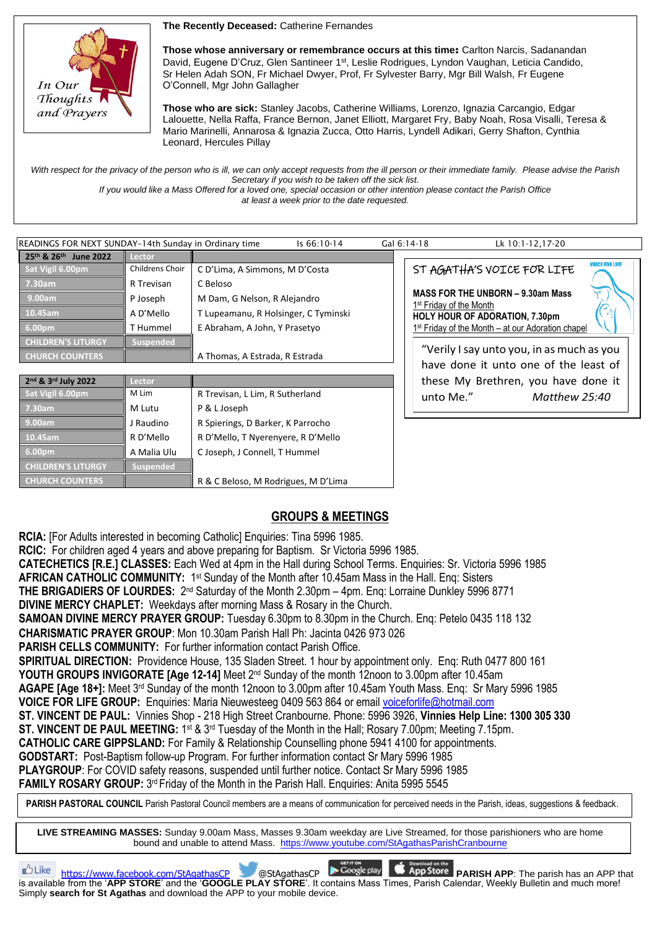**The Recently Deceased:** Catherine Fernandes



**Those whose anniversary or remembrance occurs at this time**: Carlton Narcis, Sadanandan David, Eugene D'Cruz, Glen Santineer 1<sup>st</sup>, Leslie Rodrigues, Lyndon Vaughan, Leticia Candido, Sr Helen Adah SON, Fr Michael Dwyer, Prof, Fr Sylvester Barry, Mgr Bill Walsh, Fr Eugene O'Connell, Mgr John Gallagher

**Those who are sick:** Stanley Jacobs, Catherine Williams, Lorenzo, Ignazia Carcangio, Edgar Lalouette, Nella Raffa, France Bernon, Janet Elliott, Margaret Fry, Baby Noah, Rosa Visalli, Teresa & Mario Marinelli, Annarosa & Ignazia Zucca, Otto Harris, Lyndell Adikari, Gerry Shafton, Cynthia Leonard, Hercules Pillay

With respect for the privacy of the person who is ill, we can only accept requests from the ill person or their immediate family. Please advise the Parish *Secretary if you wish to be taken off the sick list.*

*If you would like a Mass Offered for a loved one, special occasion or other intention please contact the Parish Office at least a week prior to the date requested.*

| READINGS FOR NEXT SUNDAY-14th Sunday in Ordinary time<br>Is 66:10-14 |                 |                                      |  | Gal 6:14-18                                                                     | Lk 10:1-12,17-20                                               |  |
|----------------------------------------------------------------------|-----------------|--------------------------------------|--|---------------------------------------------------------------------------------|----------------------------------------------------------------|--|
| 25th & 26th June 2022                                                | Lector          |                                      |  |                                                                                 |                                                                |  |
| Sat Vigil 6.00pm                                                     | Childrens Choir | C D'Lima, A Simmons, M D'Costa       |  |                                                                                 | <b>JOICE FOR LIFE</b><br>ST AGATHA'S VOICE FOR LIFE            |  |
| 7.30am                                                               | R Trevisan      | C Beloso                             |  | <b>MASS FOR THE UNBORN - 9.30am Mass</b><br>1 <sup>st</sup> Friday of the Month |                                                                |  |
| 9.00am                                                               | P Joseph        | M Dam, G Nelson, R Alejandro         |  |                                                                                 |                                                                |  |
| 10.45am                                                              | A D'Mello       | T Lupeamanu, R Holsinger, C Tyminski |  | <b>HOLY HOUR OF ADORATION, 7.30pm</b>                                           |                                                                |  |
| 6.00 <sub>pm</sub>                                                   | T Hummel        | E Abraham, A John, Y Prasetyo        |  |                                                                                 | 1 <sup>st</sup> Friday of the Month - at our Adoration chapel  |  |
| <b>CHILDREN'S LITURGY</b>                                            | Suspended       |                                      |  |                                                                                 |                                                                |  |
| <b>CHURCH COUNTERS</b>                                               |                 | A Thomas, A Estrada, R Estrada       |  |                                                                                 | "Verily I say unto you, in as much as you                      |  |
|                                                                      |                 |                                      |  |                                                                                 | have done it unto one of the least of                          |  |
| and a ard s saaa                                                     | .               |                                      |  |                                                                                 | بالمقادم والمستحيط المتمرد المتموية المستحل والمناقب والمستحلة |  |

| 2nd & 3rd July 2022       | Lector           |                                     |
|---------------------------|------------------|-------------------------------------|
| Sat Vigil 6.00pm          | M Lim            | R Trevisan, L Lim, R Sutherland     |
| 7.30am                    | M Lutu           | P & L Joseph                        |
| 9.00am                    | J Raudino        | R Spierings, D Barker, K Parrocho   |
| 10.45am                   | R D'Mello        | R D'Mello, T Nyerenyere, R D'Mello  |
| 6.00pm                    | A Malia Ulu      | C Joseph, J Connell, T Hummel       |
| <b>CHILDREN'S LITURGY</b> | <b>Suspended</b> |                                     |
| <b>CHURCH COUNTERS</b>    |                  | R & C Beloso, M Rodrigues, M D'Lima |

these My Brethren, you have done it unto Me." *Matthew 25:40*

## **GROUPS & MEETINGS**

**RCIA:** [For Adults interested in becoming Catholic] Enquiries: Tina 5996 1985.

**RCIC:** For children aged 4 years and above preparing for Baptism. Sr Victoria 5996 1985.

**CATECHETICS [R.E.] CLASSES:** Each Wed at 4pm in the Hall during School Terms. Enquiries: Sr. Victoria 5996 1985

**AFRICAN CATHOLIC COMMUNITY:** 1<sup>st</sup> Sunday of the Month after 10.45am Mass in the Hall. Enq: Sisters

THE BRIGADIERS OF LOURDES: 2<sup>nd</sup> Saturday of the Month 2.30pm - 4pm. Enq: Lorraine Dunkley 5996 8771

**DIVINE MERCY CHAPLET:** Weekdays after morning Mass & Rosary in the Church.

**SAMOAN DIVINE MERCY PRAYER GROUP:** Tuesday 6.30pm to 8.30pm in the Church. Enq: Petelo 0435 118 132

**CHARISMATIC PRAYER GROUP**: Mon 10.30am Parish Hall Ph: Jacinta 0426 973 026

**PARISH CELLS COMMUNITY: For further information contact Parish Office.** 

**SPIRITUAL DIRECTION:** Providence House, 135 Sladen Street. 1 hour by appointment only. Enq: Ruth 0477 800 161 **YOUTH GROUPS INVIGORATE [Age 12-14]** Meet 2nd Sunday of the month 12noon to 3.00pm after 10.45am

**AGAPE [Age 18+]:** Meet 3<sup>rd</sup> Sunday of the month 12noon to 3.00pm after 10.45am Youth Mass. Enq: Sr Mary 5996 1985

**VOICE FOR LIFE GROUP:** Enquiries: Maria Nieuwesteeg 0409 563 864 or email [voiceforlife@hotmail.com](mailto:voiceforlife@hotmail.com)

**ST. VINCENT DE PAUL:** Vinnies Shop - 218 High Street Cranbourne. Phone: 5996 3926, **Vinnies Help Line: 1300 305 330**

**ST. VINCENT DE PAUL MEETING:** 1<sup>st</sup> & 3<sup>rd</sup> Tuesday of the Month in the Hall; Rosary 7.00pm; Meeting 7.15pm.

**CATHOLIC CARE GIPPSLAND:** For Family & Relationship Counselling phone 5941 4100 for appointments.

**GODSTART:** Post-Baptism follow-up Program. For further information contact Sr Mary 5996 1985

**PLAYGROUP**: For COVID safety reasons, suspended until further notice. Contact Sr Mary 5996 1985

FAMILY ROSARY GROUP: 3<sup>rd</sup> Friday of the Month in the Parish Hall. Enquiries: Anita 5995 5545

PARISH PASTORAL COUNCIL Parish Pastoral Council members are a means of communication for perceived needs in the Parish, ideas, suggestions & feedback.

**LIVE STREAMING MASSES:** Sunday 9.00am Mass, Masses 9.30am weekday are Live Streamed, for those parishioners who are home bound and unable to attend Mass. <https://www.youtube.com/StAgathasParishCranbourne>

**https://www.facebook.com/StAgathasCP** @StAgathasCP **PGoogle play CApp Store PARISH APP**: The parish has an APP that is available from the '**APP STORE**' and the '**GOOGLE PLAY STORE**'. It contains Mass Times, Parish Calendar, Weekly Bulletin and much more! Simply **search for St Agathas** and download the APP to your mobile device.